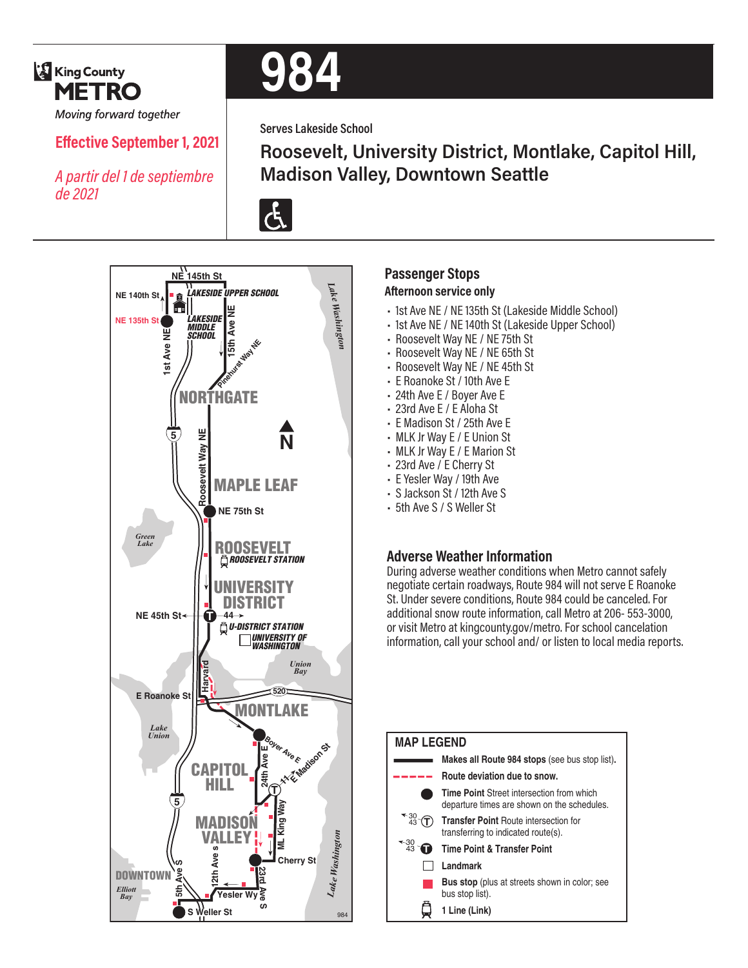

Moving forward together

## **Effective September 1, 2021**

*A partir del 1 de septiembre de 2021*



**Serves Lakeside School**

**Roosevelt, University District, Montlake, Capitol Hill, Madison Valley, Downtown Seattle**





### **Passenger Stops Afternoon service only**

- 1st Ave NE / NE 135th St (Lakeside Middle School)
- 1st Ave NE / NE 140th St (Lakeside Upper School)
- Roosevelt Way NE / NE 75th St
- Roosevelt Way NE / NE 65th St
- Roosevelt Way NE / NE 45th St
- E Roanoke St / 10th Ave E
- 24th Ave E / Boyer Ave E
- 23rd Ave E / E Aloha St
- E Madison St / 25th Ave E
- MLK Jr Way E / E Union St
- MLK Jr Way E / E Marion St
- 23rd Ave / E Cherry St
- E Yesler Way / 19th Ave
- S Jackson St / 12th Ave S
- 5th Ave S / S Weller St

#### **Adverse Weather Information**

During adverse weather conditions when Metro cannot safely negotiate certain roadways, Route 984 will not serve E Roanoke St. Under severe conditions, Route 984 could be canceled. For additional snow route information, call Metro at 206- 553-3000, or visit Metro at kingcounty.gov/metro. For school cancelation information, call your school and/ or listen to local media reports.